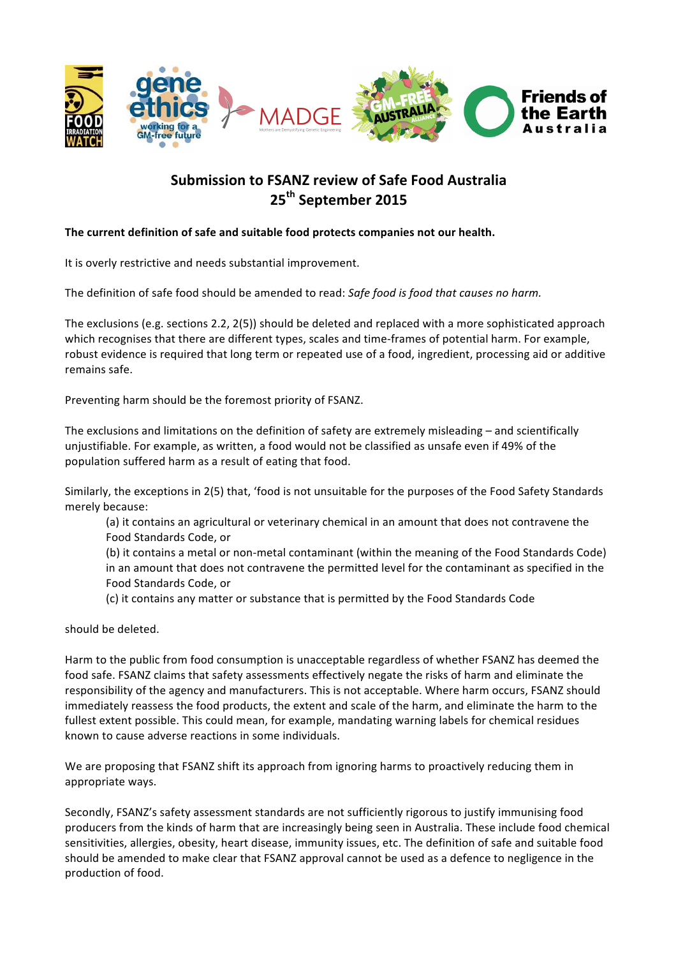

# **Submission to FSANZ review of Safe Food Australia 25th September 2015**

# The current definition of safe and suitable food protects companies not our health.

It is overly restrictive and needs substantial improvement.

The definition of safe food should be amended to read: *Safe food is food that causes no harm.* 

The exclusions (e.g. sections  $2.2$ ,  $2(5)$ ) should be deleted and replaced with a more sophisticated approach which recognises that there are different types, scales and time-frames of potential harm. For example, robust evidence is required that long term or repeated use of a food, ingredient, processing aid or additive remains safe.

Preventing harm should be the foremost priority of FSANZ.

The exclusions and limitations on the definition of safety are extremely misleading  $-$  and scientifically unjustifiable. For example, as written, a food would not be classified as unsafe even if 49% of the population suffered harm as a result of eating that food.

Similarly, the exceptions in 2(5) that, 'food is not unsuitable for the purposes of the Food Safety Standards merely because:

(a) it contains an agricultural or veterinary chemical in an amount that does not contravene the Food Standards Code, or

(b) it contains a metal or non-metal contaminant (within the meaning of the Food Standards Code) in an amount that does not contravene the permitted level for the contaminant as specified in the Food Standards Code, or

(c) it contains any matter or substance that is permitted by the Food Standards Code

should be deleted.

Harm to the public from food consumption is unacceptable regardless of whether FSANZ has deemed the food safe. FSANZ claims that safety assessments effectively negate the risks of harm and eliminate the responsibility of the agency and manufacturers. This is not acceptable. Where harm occurs, FSANZ should immediately reassess the food products, the extent and scale of the harm, and eliminate the harm to the fullest extent possible. This could mean, for example, mandating warning labels for chemical residues known to cause adverse reactions in some individuals.

We are proposing that FSANZ shift its approach from ignoring harms to proactively reducing them in appropriate ways.

Secondly, FSANZ's safety assessment standards are not sufficiently rigorous to justify immunising food producers from the kinds of harm that are increasingly being seen in Australia. These include food chemical sensitivities, allergies, obesity, heart disease, immunity issues, etc. The definition of safe and suitable food should be amended to make clear that FSANZ approval cannot be used as a defence to negligence in the production of food.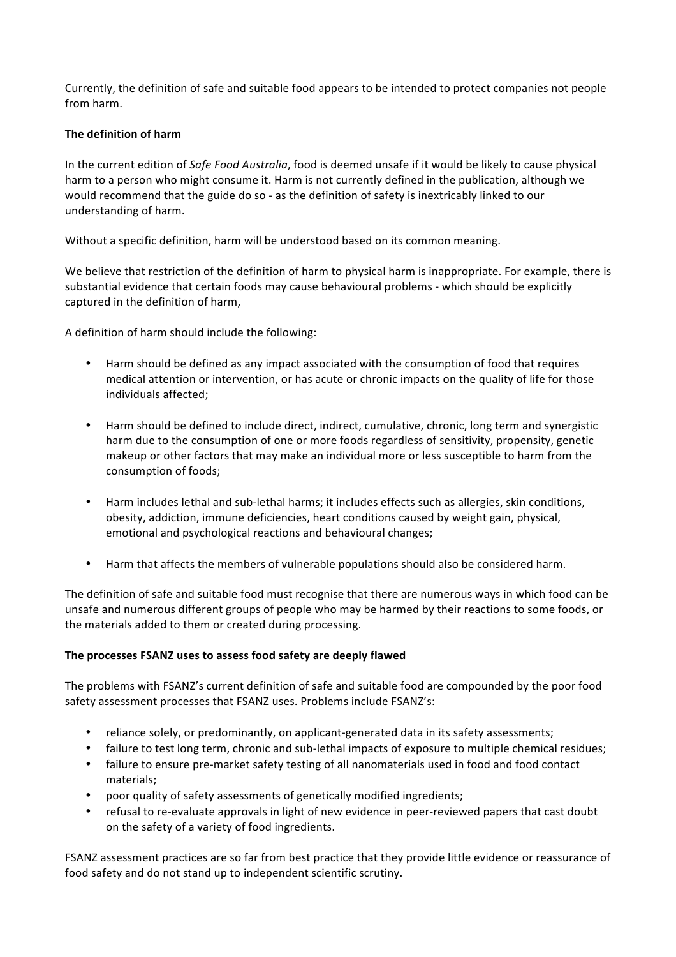Currently, the definition of safe and suitable food appears to be intended to protect companies not people from harm.

# **The definition of harm**

In the current edition of *Safe Food Australia*, food is deemed unsafe if it would be likely to cause physical harm to a person who might consume it. Harm is not currently defined in the publication, although we would recommend that the guide do so - as the definition of safety is inextricably linked to our understanding of harm.

Without a specific definition, harm will be understood based on its common meaning.

We believe that restriction of the definition of harm to physical harm is inappropriate. For example, there is substantial evidence that certain foods may cause behavioural problems - which should be explicitly captured in the definition of harm,

A definition of harm should include the following:

- Harm should be defined as any impact associated with the consumption of food that requires medical attention or intervention, or has acute or chronic impacts on the quality of life for those individuals affected:
- Harm should be defined to include direct, indirect, cumulative, chronic, long term and synergistic harm due to the consumption of one or more foods regardless of sensitivity, propensity, genetic makeup or other factors that may make an individual more or less susceptible to harm from the consumption of foods;
- Harm includes lethal and sub-lethal harms; it includes effects such as allergies, skin conditions, obesity, addiction, immune deficiencies, heart conditions caused by weight gain, physical, emotional and psychological reactions and behavioural changes;
- Harm that affects the members of vulnerable populations should also be considered harm.

The definition of safe and suitable food must recognise that there are numerous ways in which food can be unsafe and numerous different groups of people who may be harmed by their reactions to some foods, or the materials added to them or created during processing.

# The processes FSANZ uses to assess food safety are deeply flawed

The problems with FSANZ's current definition of safe and suitable food are compounded by the poor food safety assessment processes that FSANZ uses. Problems include FSANZ's:

- reliance solely, or predominantly, on applicant-generated data in its safety assessments;
- failure to test long term, chronic and sub-lethal impacts of exposure to multiple chemical residues;
- failure to ensure pre-market safety testing of all nanomaterials used in food and food contact materials;
- poor quality of safety assessments of genetically modified ingredients;
- refusal to re-evaluate approvals in light of new evidence in peer-reviewed papers that cast doubt on the safety of a variety of food ingredients.

FSANZ assessment practices are so far from best practice that they provide little evidence or reassurance of food safety and do not stand up to independent scientific scrutiny.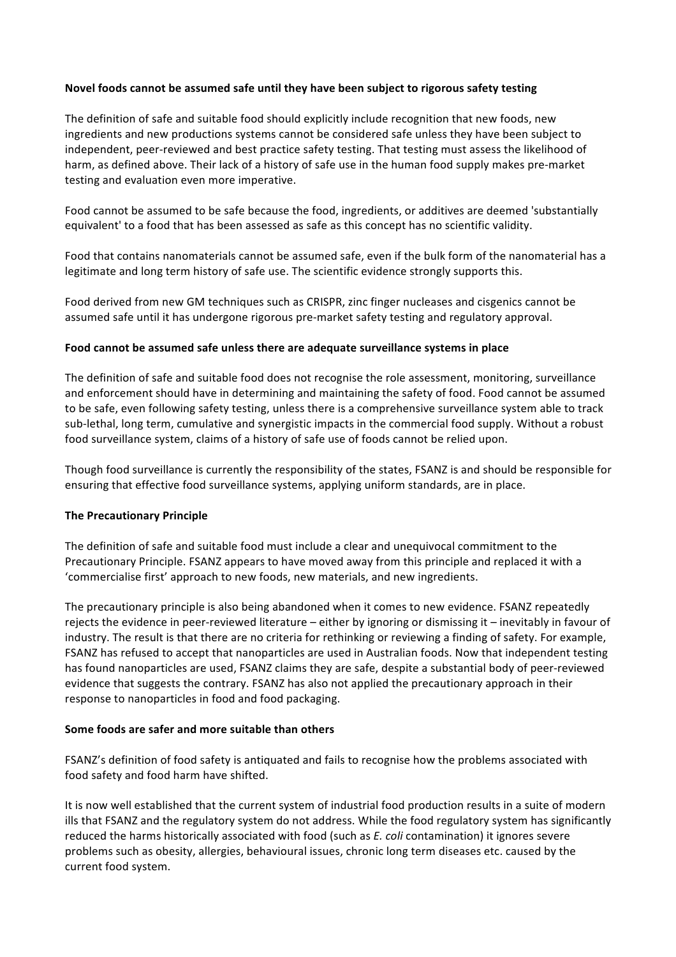## Novel foods cannot be assumed safe until they have been subject to rigorous safety testing

The definition of safe and suitable food should explicitly include recognition that new foods, new ingredients and new productions systems cannot be considered safe unless they have been subject to independent, peer-reviewed and best practice safety testing. That testing must assess the likelihood of harm, as defined above. Their lack of a history of safe use in the human food supply makes pre-market testing and evaluation even more imperative.

Food cannot be assumed to be safe because the food, ingredients, or additives are deemed 'substantially equivalent' to a food that has been assessed as safe as this concept has no scientific validity.

Food that contains nanomaterials cannot be assumed safe, even if the bulk form of the nanomaterial has a legitimate and long term history of safe use. The scientific evidence strongly supports this.

Food derived from new GM techniques such as CRISPR, zinc finger nucleases and cisgenics cannot be assumed safe until it has undergone rigorous pre-market safety testing and regulatory approval.

## Food cannot be assumed safe unless there are adequate surveillance systems in place

The definition of safe and suitable food does not recognise the role assessment, monitoring, surveillance and enforcement should have in determining and maintaining the safety of food. Food cannot be assumed to be safe, even following safety testing, unless there is a comprehensive surveillance system able to track sub-lethal, long term, cumulative and synergistic impacts in the commercial food supply. Without a robust food surveillance system, claims of a history of safe use of foods cannot be relied upon.

Though food surveillance is currently the responsibility of the states, FSANZ is and should be responsible for ensuring that effective food surveillance systems, applying uniform standards, are in place.

## **The Precautionary Principle**

The definition of safe and suitable food must include a clear and unequivocal commitment to the Precautionary Principle. FSANZ appears to have moved away from this principle and replaced it with a 'commercialise first' approach to new foods, new materials, and new ingredients.

The precautionary principle is also being abandoned when it comes to new evidence. FSANZ repeatedly rejects the evidence in peer-reviewed literature  $-$  either by ignoring or dismissing it  $-$  inevitably in favour of industry. The result is that there are no criteria for rethinking or reviewing a finding of safety. For example, FSANZ has refused to accept that nanoparticles are used in Australian foods. Now that independent testing has found nanoparticles are used, FSANZ claims they are safe, despite a substantial body of peer-reviewed evidence that suggests the contrary. FSANZ has also not applied the precautionary approach in their response to nanoparticles in food and food packaging.

## **Some foods are safer and more suitable than others**

FSANZ's definition of food safety is antiquated and fails to recognise how the problems associated with food safety and food harm have shifted.

It is now well established that the current system of industrial food production results in a suite of modern ills that FSANZ and the regulatory system do not address. While the food regulatory system has significantly reduced the harms historically associated with food (such as *E. coli* contamination) it ignores severe problems such as obesity, allergies, behavioural issues, chronic long term diseases etc. caused by the current food system.